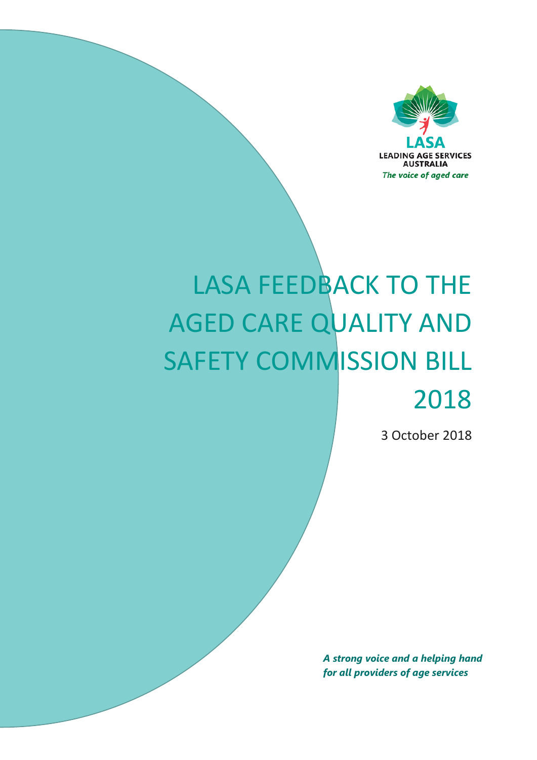

# LASA FEEDBACK TO THE AGED CARE QUALITY AND SAFETY COMMISSION BILL 2018

3 October 2018

*A strong voice and a helping hand for all providers of age services*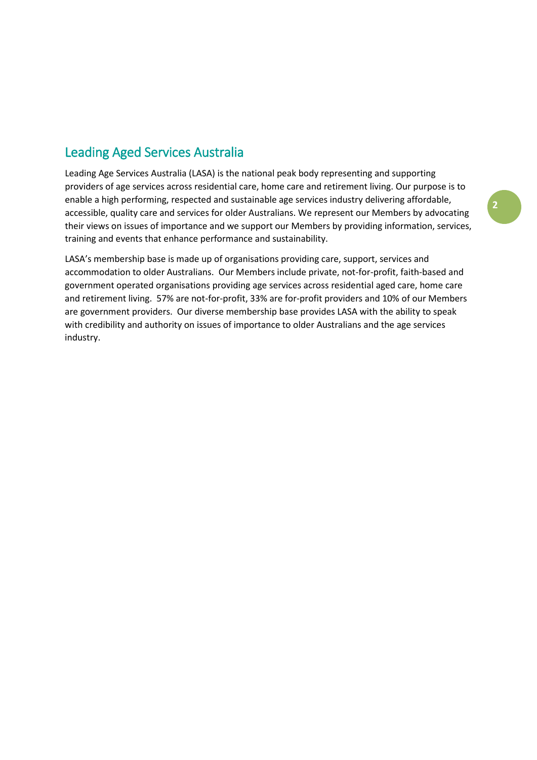# Leading Aged Services Australia

Leading Age Services Australia (LASA) is the national peak body representing and supporting providers of age services across residential care, home care and retirement living. Our purpose is to enable a high performing, respected and sustainable age services industry delivering affordable, accessible, quality care and services for older Australians. We represent our Members by advocating their views on issues of importance and we support our Members by providing information, services, training and events that enhance performance and sustainability.

LASA's membership base is made up of organisations providing care, support, services and accommodation to older Australians. Our Members include private, not-for-profit, faith-based and government operated organisations providing age services across residential aged care, home care and retirement living. 57% are not-for-profit, 33% are for-profit providers and 10% of our Members are government providers. Our diverse membership base provides LASA with the ability to speak with credibility and authority on issues of importance to older Australians and the age services industry.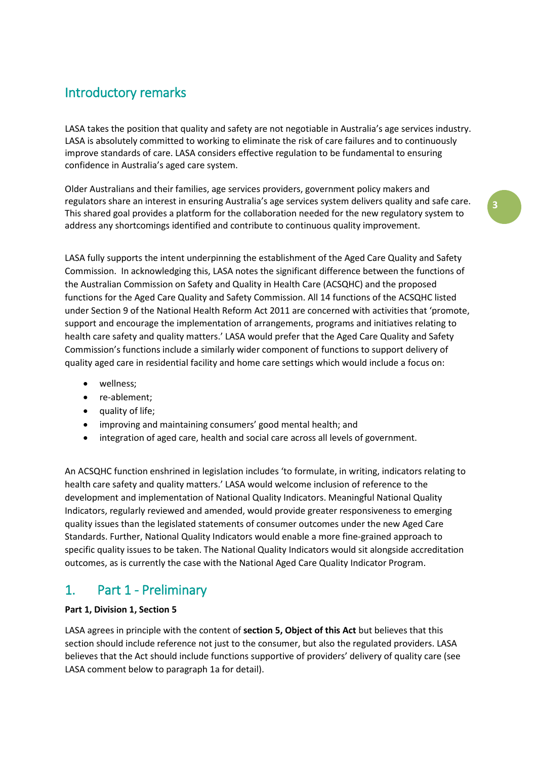## Introductory remarks

LASA takes the position that quality and safety are not negotiable in Australia's age services industry. LASA is absolutely committed to working to eliminate the risk of care failures and to continuously improve standards of care. LASA considers effective regulation to be fundamental to ensuring confidence in Australia's aged care system.

Older Australians and their families, age services providers, government policy makers and regulators share an interest in ensuring Australia's age services system delivers quality and safe care. This shared goal provides a platform for the collaboration needed for the new regulatory system to address any shortcomings identified and contribute to continuous quality improvement.

**3**

LASA fully supports the intent underpinning the establishment of the Aged Care Quality and Safety Commission. In acknowledging this, LASA notes the significant difference between the functions of the Australian Commission on Safety and Quality in Health Care (ACSQHC) and the proposed functions for the Aged Care Quality and Safety Commission. All 14 functions of the ACSQHC listed under Section 9 of the National Health Reform Act 2011 are concerned with activities that 'promote, support and encourage the implementation of arrangements, programs and initiatives relating to health care safety and quality matters.' LASA would prefer that the Aged Care Quality and Safety Commission's functions include a similarly wider component of functions to support delivery of quality aged care in residential facility and home care settings which would include a focus on:

- wellness;
- re-ablement;
- quality of life;
- improving and maintaining consumers' good mental health; and
- integration of aged care, health and social care across all levels of government.

An ACSQHC function enshrined in legislation includes 'to formulate, in writing, indicators relating to health care safety and quality matters.' LASA would welcome inclusion of reference to the development and implementation of National Quality Indicators. Meaningful National Quality Indicators, regularly reviewed and amended, would provide greater responsiveness to emerging quality issues than the legislated statements of consumer outcomes under the new Aged Care Standards. Further, National Quality Indicators would enable a more fine-grained approach to specific quality issues to be taken. The National Quality Indicators would sit alongside accreditation outcomes, as is currently the case with the National Aged Care Quality Indicator Program.

## 1. Part 1 - Preliminary

#### **Part 1, Division 1, Section 5**

LASA agrees in principle with the content of **section 5, Object of this Act** but believes that this section should include reference not just to the consumer, but also the regulated providers. LASA believes that the Act should include functions supportive of providers' delivery of quality care (see LASA comment below to paragraph 1a for detail).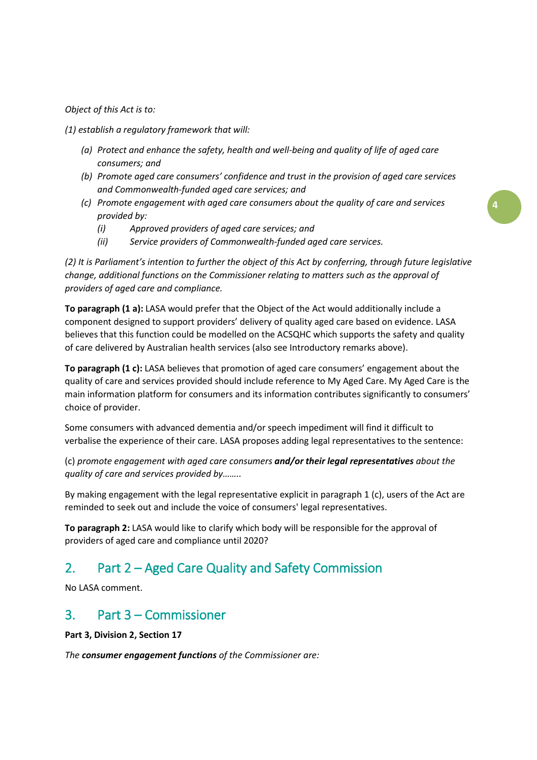*Object of this Act is to:*

*(1) establish a regulatory framework that will:*

- *(a) Protect and enhance the safety, health and well-being and quality of life of aged care consumers; and*
- *(b) Promote aged care consumers' confidence and trust in the provision of aged care services and Commonwealth-funded aged care services; and*
- *(c) Promote engagement with aged care consumers about the quality of care and services provided by:*
	- *(i) Approved providers of aged care services; and*
	- *(ii) Service providers of Commonwealth-funded aged care services.*

*(2) It is Parliament's intention to further the object of this Act by conferring, through future legislative change, additional functions on the Commissioner relating to matters such as the approval of providers of aged care and compliance.*

**To paragraph (1 a):** LASA would prefer that the Object of the Act would additionally include a component designed to support providers' delivery of quality aged care based on evidence. LASA believes that this function could be modelled on the ACSQHC which supports the safety and quality of care delivered by Australian health services (also see Introductory remarks above).

**To paragraph (1 c):** LASA believes that promotion of aged care consumers' engagement about the quality of care and services provided should include reference to My Aged Care. My Aged Care is the main information platform for consumers and its information contributes significantly to consumers' choice of provider.

Some consumers with advanced dementia and/or speech impediment will find it difficult to verbalise the experience of their care. LASA proposes adding legal representatives to the sentence:

(c) *promote engagement with aged care consumers and/or their legal representatives about the quality of care and services provided by……..*

By making engagement with the legal representative explicit in paragraph 1 (c), users of the Act are reminded to seek out and include the voice of consumers' legal representatives.

**To paragraph 2:** LASA would like to clarify which body will be responsible for the approval of providers of aged care and compliance until 2020?

## 2. Part 2 – Aged Care Quality and Safety Commission

No LASA comment.

## 3. Part 3 – Commissioner

**Part 3, Division 2, Section 17**

*The consumer engagement functions of the Commissioner are:*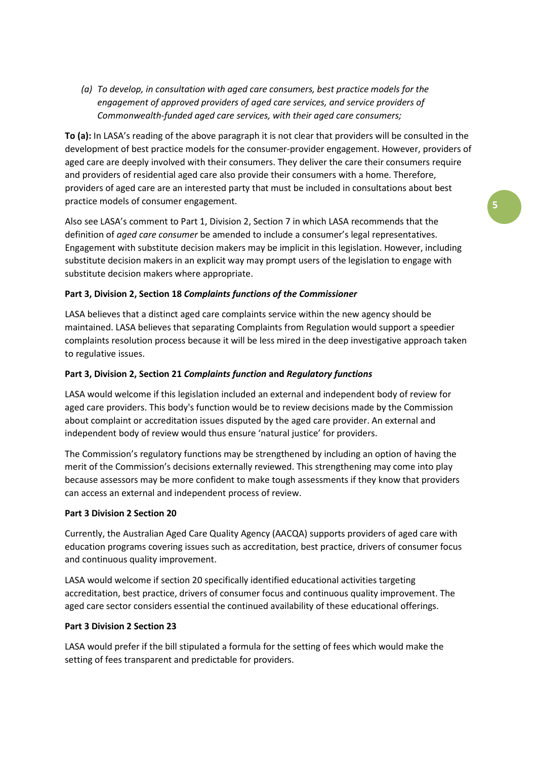*(a) To develop, in consultation with aged care consumers, best practice models for the engagement of approved providers of aged care services, and service providers of Commonwealth-funded aged care services, with their aged care consumers;*

**To (a):** In LASA's reading of the above paragraph it is not clear that providers will be consulted in the development of best practice models for the consumer-provider engagement. However, providers of aged care are deeply involved with their consumers. They deliver the care their consumers require and providers of residential aged care also provide their consumers with a home. Therefore, providers of aged care are an interested party that must be included in consultations about best practice models of consumer engagement.

Also see LASA's comment to Part 1, Division 2, Section 7 in which LASA recommends that the definition of *aged care consumer* be amended to include a consumer's legal representatives. Engagement with substitute decision makers may be implicit in this legislation. However, including substitute decision makers in an explicit way may prompt users of the legislation to engage with substitute decision makers where appropriate.

#### **Part 3, Division 2, Section 18** *Complaints functions of the Commissioner*

LASA believes that a distinct aged care complaints service within the new agency should be maintained. LASA believes that separating Complaints from Regulation would support a speedier complaints resolution process because it will be less mired in the deep investigative approach taken to regulative issues.

#### **Part 3, Division 2, Section 21** *Complaints function* **and** *Regulatory functions*

LASA would welcome if this legislation included an external and independent body of review for aged care providers. This body's function would be to review decisions made by the Commission about complaint or accreditation issues disputed by the aged care provider. An external and independent body of review would thus ensure 'natural justice' for providers.

The Commission's regulatory functions may be strengthened by including an option of having the merit of the Commission's decisions externally reviewed. This strengthening may come into play because assessors may be more confident to make tough assessments if they know that providers can access an external and independent process of review.

#### **Part 3 Division 2 Section 20**

Currently, the Australian Aged Care Quality Agency (AACQA) supports providers of aged care with education programs covering issues such as accreditation, best practice, drivers of consumer focus and continuous quality improvement.

LASA would welcome if section 20 specifically identified educational activities targeting accreditation, best practice, drivers of consumer focus and continuous quality improvement. The aged care sector considers essential the continued availability of these educational offerings.

#### **Part 3 Division 2 Section 23**

LASA would prefer if the bill stipulated a formula for the setting of fees which would make the setting of fees transparent and predictable for providers.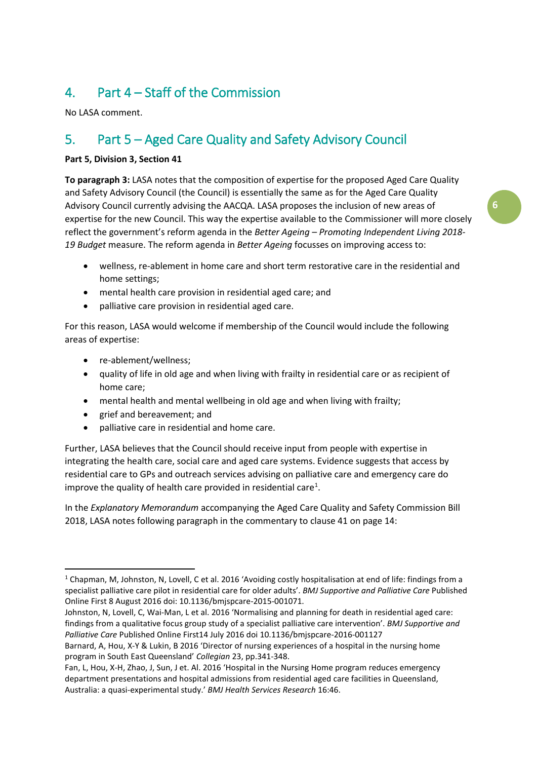# 4. Part 4 – Staff of the Commission

No LASA comment.

# 5. Part 5 – Aged Care Quality and Safety Advisory Council

#### **Part 5, Division 3, Section 41**

**To paragraph 3:** LASA notes that the composition of expertise for the proposed Aged Care Quality and Safety Advisory Council (the Council) is essentially the same as for the Aged Care Quality Advisory Council currently advising the AACQA. LASA proposes the inclusion of new areas of expertise for the new Council. This way the expertise available to the Commissioner will more closely reflect the government's reform agenda in the *Better Ageing – Promoting Independent Living 2018- 19 Budget* measure. The reform agenda in *Better Ageing* focusses on improving access to:

- wellness, re-ablement in home care and short term restorative care in the residential and home settings;
- mental health care provision in residential aged care; and
- palliative care provision in residential aged care.

For this reason, LASA would welcome if membership of the Council would include the following areas of expertise:

- re-ablement/wellness;
- quality of life in old age and when living with frailty in residential care or as recipient of home care;
- mental health and mental wellbeing in old age and when living with frailty;
- grief and bereavement; and
- palliative care in residential and home care.

Further, LASA believes that the Council should receive input from people with expertise in integrating the health care, social care and aged care systems. Evidence suggests that access by residential care to GPs and outreach services advising on palliative care and emergency care do improve the quality of health care provided in residential care<sup>[1](#page-5-0)</sup>.

In the *Explanatory Memorandum* accompanying the Aged Care Quality and Safety Commission Bill 2018, LASA notes following paragraph in the commentary to clause 41 on page 14:

<span id="page-5-0"></span><sup>&</sup>lt;sup>1</sup> Chapman, M, Johnston, N, Lovell, C et al. 2016 'Avoiding costly hospitalisation at end of life: findings from a specialist palliative care pilot in residential care for older adults'. *BMJ Supportive and Palliative Care* Published Online First 8 August 2016 doi: 10.1136/bmjspcare-2015-001071.

Johnston, N, Lovell, C, Wai-Man, L et al. 2016 'Normalising and planning for death in residential aged care: findings from a qualitative focus group study of a specialist palliative care intervention'. *BMJ Supportive and Palliative Care* Published Online First14 July 2016 doi 10.1136/bmjspcare-2016-001127

Barnard, A, Hou, X-Y & Lukin, B 2016 'Director of nursing experiences of a hospital in the nursing home program in South East Queensland' *Collegian* 23, pp.341-348.

Fan, L, Hou, X-H, Zhao, J, Sun, J et. Al. 2016 'Hospital in the Nursing Home program reduces emergency department presentations and hospital admissions from residential aged care facilities in Queensland, Australia: a quasi-experimental study.' *BMJ Health Services Research* 16:46.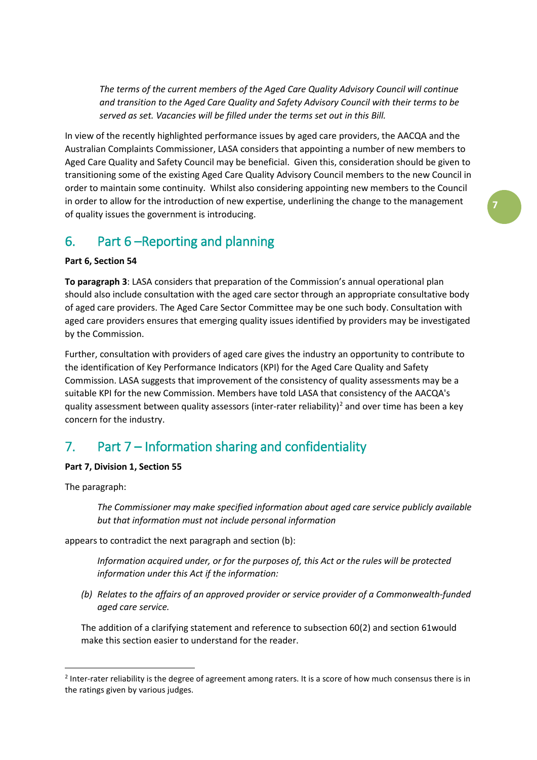*The terms of the current members of the Aged Care Quality Advisory Council will continue and transition to the Aged Care Quality and Safety Advisory Council with their terms to be served as set. Vacancies will be filled under the terms set out in this Bill.*

In view of the recently highlighted performance issues by aged care providers, the AACQA and the Australian Complaints Commissioner, LASA considers that appointing a number of new members to Aged Care Quality and Safety Council may be beneficial. Given this, consideration should be given to transitioning some of the existing Aged Care Quality Advisory Council members to the new Council in order to maintain some continuity. Whilst also considering appointing new members to the Council in order to allow for the introduction of new expertise, underlining the change to the management of quality issues the government is introducing.

## 6. Part 6 –Reporting and planning

#### **Part 6, Section 54**

**To paragraph 3**: LASA considers that preparation of the Commission's annual operational plan should also include consultation with the aged care sector through an appropriate consultative body of aged care providers. The Aged Care Sector Committee may be one such body. Consultation with aged care providers ensures that emerging quality issues identified by providers may be investigated by the Commission.

Further, consultation with providers of aged care gives the industry an opportunity to contribute to the identification of Key Performance Indicators (KPI) for the Aged Care Quality and Safety Commission. LASA suggests that improvement of the consistency of quality assessments may be a suitable KPI for the new Commission. Members have told LASA that consistency of the AACQA's quality assessment between quality assessors (inter-rater reliability)<sup>[2](#page-6-0)</sup> and over time has been a key concern for the industry.

## 7. Part 7 – Information sharing and confidentiality

#### **Part 7, Division 1, Section 55**

The paragraph:

*The Commissioner may make specified information about aged care service publicly available but that information must not include personal information* 

appears to contradict the next paragraph and section (b):

*Information acquired under, or for the purposes of, this Act or the rules will be protected information under this Act if the information:*

*(b) Relates to the affairs of an approved provider or service provider of a Commonwealth-funded aged care service.*

The addition of a clarifying statement and reference to subsection 60(2) and section 61would make this section easier to understand for the reader.

<span id="page-6-0"></span><sup>&</sup>lt;sup>2</sup> Inter-rater reliability is the degree of agreement among raters. It is a score of how much consensus there is in the ratings given by various judges.